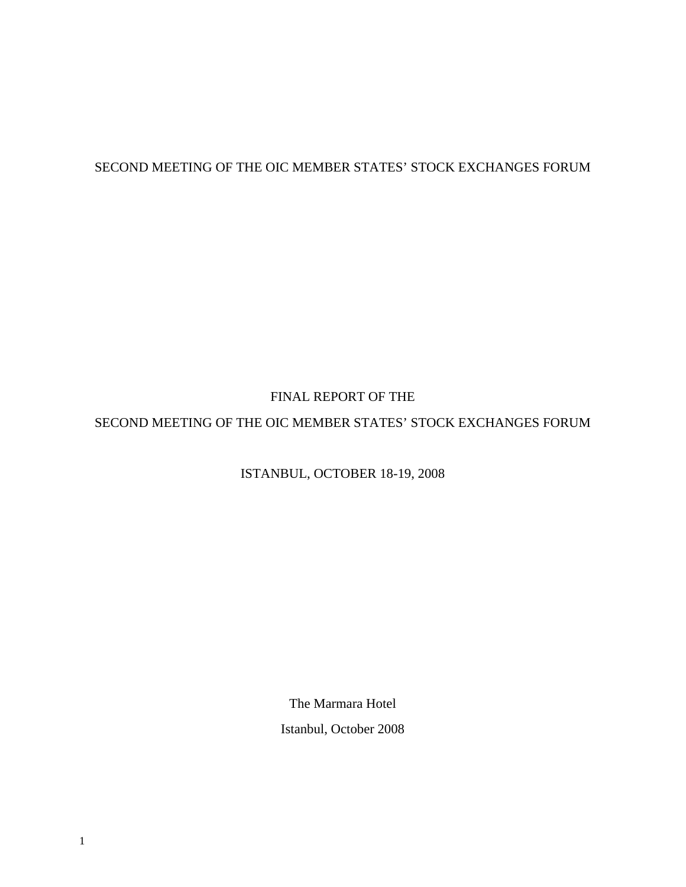# SECOND MEETING OF THE OIC MEMBER STATES' STOCK EXCHANGES FORUM

# FINAL REPORT OF THE

# SECOND MEETING OF THE OIC MEMBER STATES' STOCK EXCHANGES FORUM

# ISTANBUL, OCTOBER 18-19, 2008

The Marmara Hotel Istanbul, October 2008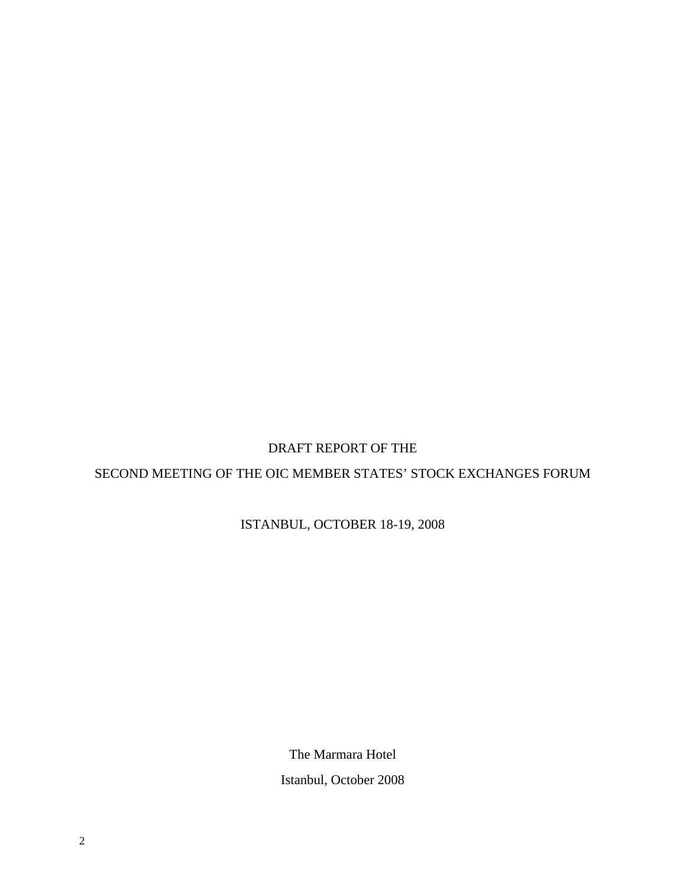## DRAFT REPORT OF THE

# SECOND MEETING OF THE OIC MEMBER STATES' STOCK EXCHANGES FORUM

ISTANBUL, OCTOBER 18-19, 2008

The Marmara Hotel Istanbul, October 2008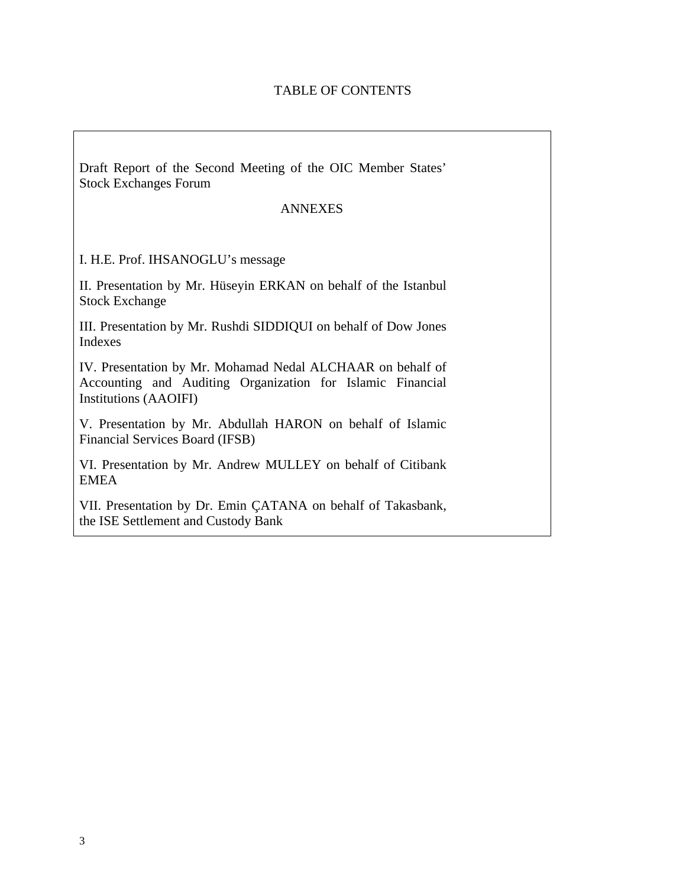## TABLE OF CONTENTS

Draft Report of the Second Meeting of the OIC Member States' Stock Exchanges Forum

#### ANNEXES

I. H.E. Prof. IHSANOGLU's message

II. Presentation by Mr. Hüseyin ERKAN on behalf of the Istanbul Stock Exchange

III. Presentation by Mr. Rushdi SIDDIQUI on behalf of Dow Jones Indexes

IV. Presentation by Mr. Mohamad Nedal ALCHAAR on behalf of Accounting and Auditing Organization for Islamic Financial Institutions (AAOIFI)

V. Presentation by Mr. Abdullah HARON on behalf of Islamic Financial Services Board (IFSB)

VI. Presentation by Mr. Andrew MULLEY on behalf of Citibank EMEA

VII. Presentation by Dr. Emin ÇATANA on behalf of Takasbank, the ISE Settlement and Custody Bank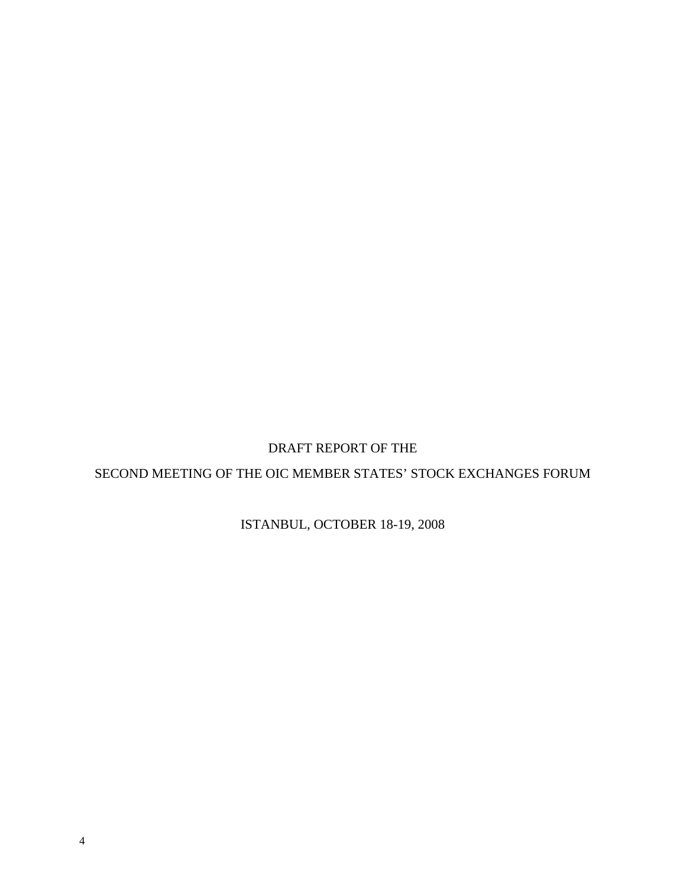DRAFT REPORT OF THE

SECOND MEETING OF THE OIC MEMBER STATES' STOCK EXCHANGES FORUM

ISTANBUL, OCTOBER 18-19, 2008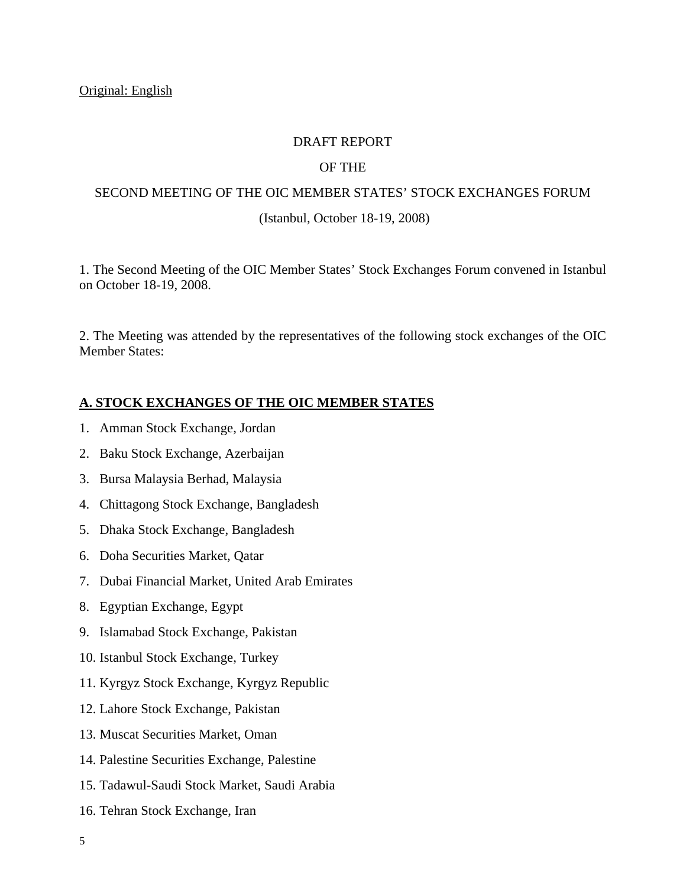#### DRAFT REPORT

## OF THE

# SECOND MEETING OF THE OIC MEMBER STATES' STOCK EXCHANGES FORUM

#### (Istanbul, October 18-19, 2008)

1. The Second Meeting of the OIC Member States' Stock Exchanges Forum convened in Istanbul on October 18-19, 2008.

2. The Meeting was attended by the representatives of the following stock exchanges of the OIC Member States:

#### **A. STOCK EXCHANGES OF THE OIC MEMBER STATES**

- 1. Amman Stock Exchange, Jordan
- 2. Baku Stock Exchange, Azerbaijan
- 3. Bursa Malaysia Berhad, Malaysia
- 4. Chittagong Stock Exchange, Bangladesh
- 5. Dhaka Stock Exchange, Bangladesh
- 6. Doha Securities Market, Qatar
- 7. Dubai Financial Market, United Arab Emirates
- 8. Egyptian Exchange, Egypt
- 9. Islamabad Stock Exchange, Pakistan
- 10. Istanbul Stock Exchange, Turkey
- 11. Kyrgyz Stock Exchange, Kyrgyz Republic
- 12. Lahore Stock Exchange, Pakistan
- 13. Muscat Securities Market, Oman
- 14. Palestine Securities Exchange, Palestine
- 15. Tadawul-Saudi Stock Market, Saudi Arabia
- 16. Tehran Stock Exchange, Iran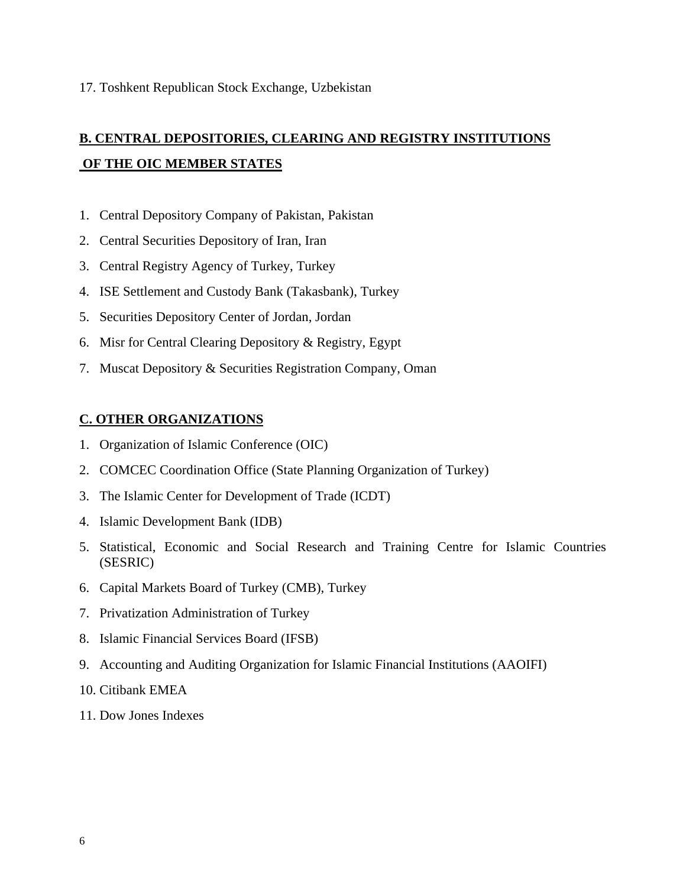# **B. CENTRAL DEPOSITORIES, CLEARING AND REGISTRY INSTITUTIONS OF THE OIC MEMBER STATES**

- 1. Central Depository Company of Pakistan, Pakistan
- 2. Central Securities Depository of Iran, Iran
- 3. Central Registry Agency of Turkey, Turkey
- 4. ISE Settlement and Custody Bank (Takasbank), Turkey
- 5. Securities Depository Center of Jordan, Jordan
- 6. Misr for Central Clearing Depository & Registry, Egypt
- 7. Muscat Depository & Securities Registration Company, Oman

## **C. OTHER ORGANIZATIONS**

- 1. Organization of Islamic Conference (OIC)
- 2. COMCEC Coordination Office (State Planning Organization of Turkey)
- 3. The Islamic Center for Development of Trade (ICDT)
- 4. Islamic Development Bank (IDB)
- 5. Statistical, Economic and Social Research and Training Centre for Islamic Countries (SESRIC)
- 6. Capital Markets Board of Turkey (CMB), Turkey
- 7. Privatization Administration of Turkey
- 8. Islamic Financial Services Board (IFSB)
- 9. Accounting and Auditing Organization for Islamic Financial Institutions (AAOIFI)
- 10. Citibank EMEA
- 11. Dow Jones Indexes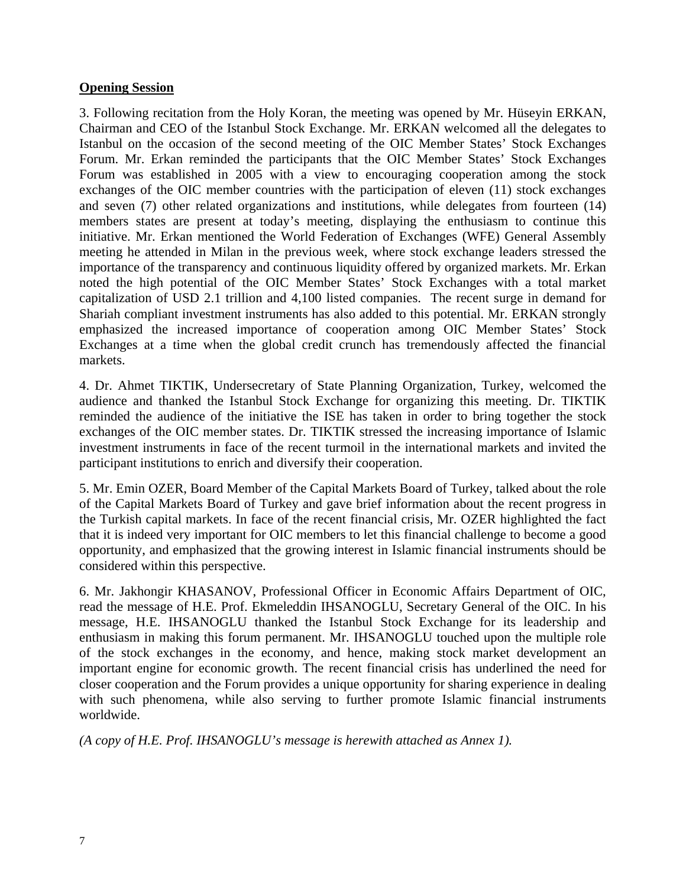## **Opening Session**

3. Following recitation from the Holy Koran, the meeting was opened by Mr. Hüseyin ERKAN, Chairman and CEO of the Istanbul Stock Exchange. Mr. ERKAN welcomed all the delegates to Istanbul on the occasion of the second meeting of the OIC Member States' Stock Exchanges Forum. Mr. Erkan reminded the participants that the OIC Member States' Stock Exchanges Forum was established in 2005 with a view to encouraging cooperation among the stock exchanges of the OIC member countries with the participation of eleven (11) stock exchanges and seven (7) other related organizations and institutions, while delegates from fourteen (14) members states are present at today's meeting, displaying the enthusiasm to continue this initiative. Mr. Erkan mentioned the World Federation of Exchanges (WFE) General Assembly meeting he attended in Milan in the previous week, where stock exchange leaders stressed the importance of the transparency and continuous liquidity offered by organized markets. Mr. Erkan noted the high potential of the OIC Member States' Stock Exchanges with a total market capitalization of USD 2.1 trillion and 4,100 listed companies. The recent surge in demand for Shariah compliant investment instruments has also added to this potential. Mr. ERKAN strongly emphasized the increased importance of cooperation among OIC Member States' Stock Exchanges at a time when the global credit crunch has tremendously affected the financial markets.

4. Dr. Ahmet TIKTIK, Undersecretary of State Planning Organization, Turkey, welcomed the audience and thanked the Istanbul Stock Exchange for organizing this meeting. Dr. TIKTIK reminded the audience of the initiative the ISE has taken in order to bring together the stock exchanges of the OIC member states. Dr. TIKTIK stressed the increasing importance of Islamic investment instruments in face of the recent turmoil in the international markets and invited the participant institutions to enrich and diversify their cooperation.

5. Mr. Emin OZER, Board Member of the Capital Markets Board of Turkey, talked about the role of the Capital Markets Board of Turkey and gave brief information about the recent progress in the Turkish capital markets. In face of the recent financial crisis, Mr. OZER highlighted the fact that it is indeed very important for OIC members to let this financial challenge to become a good opportunity, and emphasized that the growing interest in Islamic financial instruments should be considered within this perspective.

6. Mr. Jakhongir KHASANOV, Professional Officer in Economic Affairs Department of OIC, read the message of H.E. Prof. Ekmeleddin IHSANOGLU, Secretary General of the OIC. In his message, H.E. IHSANOGLU thanked the Istanbul Stock Exchange for its leadership and enthusiasm in making this forum permanent. Mr. IHSANOGLU touched upon the multiple role of the stock exchanges in the economy, and hence, making stock market development an important engine for economic growth. The recent financial crisis has underlined the need for closer cooperation and the Forum provides a unique opportunity for sharing experience in dealing with such phenomena, while also serving to further promote Islamic financial instruments worldwide.

*(A copy of H.E. Prof. IHSANOGLU's message is herewith attached as Annex 1).*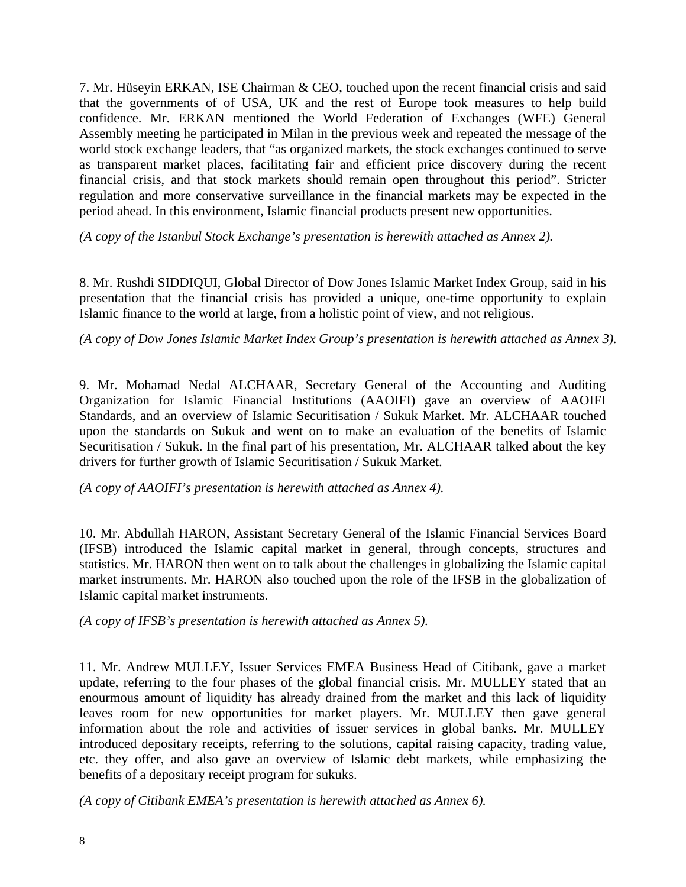7. Mr. Hüseyin ERKAN, ISE Chairman & CEO, touched upon the recent financial crisis and said that the governments of of USA, UK and the rest of Europe took measures to help build confidence. Mr. ERKAN mentioned the World Federation of Exchanges (WFE) General Assembly meeting he participated in Milan in the previous week and repeated the message of the world stock exchange leaders, that "as organized markets, the stock exchanges continued to serve as transparent market places, facilitating fair and efficient price discovery during the recent financial crisis, and that stock markets should remain open throughout this period". Stricter regulation and more conservative surveillance in the financial markets may be expected in the period ahead. In this environment, Islamic financial products present new opportunities.

*(A copy of the Istanbul Stock Exchange's presentation is herewith attached as Annex 2).* 

8. Mr. Rushdi SIDDIQUI, Global Director of Dow Jones Islamic Market Index Group, said in his presentation that the financial crisis has provided a unique, one-time opportunity to explain Islamic finance to the world at large, from a holistic point of view, and not religious.

*(A copy of Dow Jones Islamic Market Index Group's presentation is herewith attached as Annex 3).* 

9. Mr. Mohamad Nedal ALCHAAR, Secretary General of the Accounting and Auditing Organization for Islamic Financial Institutions (AAOIFI) gave an overview of AAOIFI Standards, and an overview of Islamic Securitisation / Sukuk Market. Mr. ALCHAAR touched upon the standards on Sukuk and went on to make an evaluation of the benefits of Islamic Securitisation / Sukuk. In the final part of his presentation, Mr. ALCHAAR talked about the key drivers for further growth of Islamic Securitisation / Sukuk Market.

*(A copy of AAOIFI's presentation is herewith attached as Annex 4).*

10. Mr. Abdullah HARON, Assistant Secretary General of the Islamic Financial Services Board (IFSB) introduced the Islamic capital market in general, through concepts, structures and statistics. Mr. HARON then went on to talk about the challenges in globalizing the Islamic capital market instruments. Mr. HARON also touched upon the role of the IFSB in the globalization of Islamic capital market instruments.

*(A copy of IFSB's presentation is herewith attached as Annex 5).* 

11. Mr. Andrew MULLEY, Issuer Services EMEA Business Head of Citibank, gave a market update, referring to the four phases of the global financial crisis. Mr. MULLEY stated that an enourmous amount of liquidity has already drained from the market and this lack of liquidity leaves room for new opportunities for market players. Mr. MULLEY then gave general information about the role and activities of issuer services in global banks. Mr. MULLEY introduced depositary receipts, referring to the solutions, capital raising capacity, trading value, etc. they offer, and also gave an overview of Islamic debt markets, while emphasizing the benefits of a depositary receipt program for sukuks.

*(A copy of Citibank EMEA's presentation is herewith attached as Annex 6).*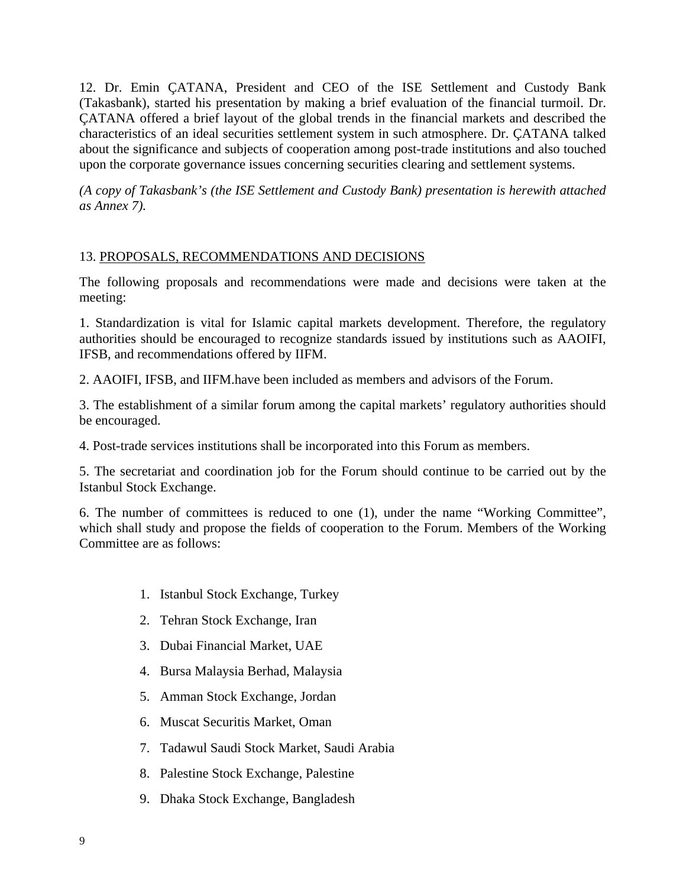12. Dr. Emin ÇATANA, President and CEO of the ISE Settlement and Custody Bank (Takasbank), started his presentation by making a brief evaluation of the financial turmoil. Dr. ÇATANA offered a brief layout of the global trends in the financial markets and described the characteristics of an ideal securities settlement system in such atmosphere. Dr. ÇATANA talked about the significance and subjects of cooperation among post-trade institutions and also touched upon the corporate governance issues concerning securities clearing and settlement systems.

*(A copy of Takasbank's (the ISE Settlement and Custody Bank) presentation is herewith attached as Annex 7).* 

## 13. PROPOSALS, RECOMMENDATIONS AND DECISIONS

The following proposals and recommendations were made and decisions were taken at the meeting:

1. Standardization is vital for Islamic capital markets development. Therefore, the regulatory authorities should be encouraged to recognize standards issued by institutions such as AAOIFI, IFSB, and recommendations offered by IIFM.

2. AAOIFI, IFSB, and IIFM.have been included as members and advisors of the Forum.

3. The establishment of a similar forum among the capital markets' regulatory authorities should be encouraged.

4. Post-trade services institutions shall be incorporated into this Forum as members.

5. The secretariat and coordination job for the Forum should continue to be carried out by the Istanbul Stock Exchange.

6. The number of committees is reduced to one (1), under the name "Working Committee", which shall study and propose the fields of cooperation to the Forum. Members of the Working Committee are as follows:

- 1. Istanbul Stock Exchange, Turkey
- 2. Tehran Stock Exchange, Iran
- 3. Dubai Financial Market, UAE
- 4. Bursa Malaysia Berhad, Malaysia
- 5. Amman Stock Exchange, Jordan
- 6. Muscat Securitis Market, Oman
- 7. Tadawul Saudi Stock Market, Saudi Arabia
- 8. Palestine Stock Exchange, Palestine
- 9. Dhaka Stock Exchange, Bangladesh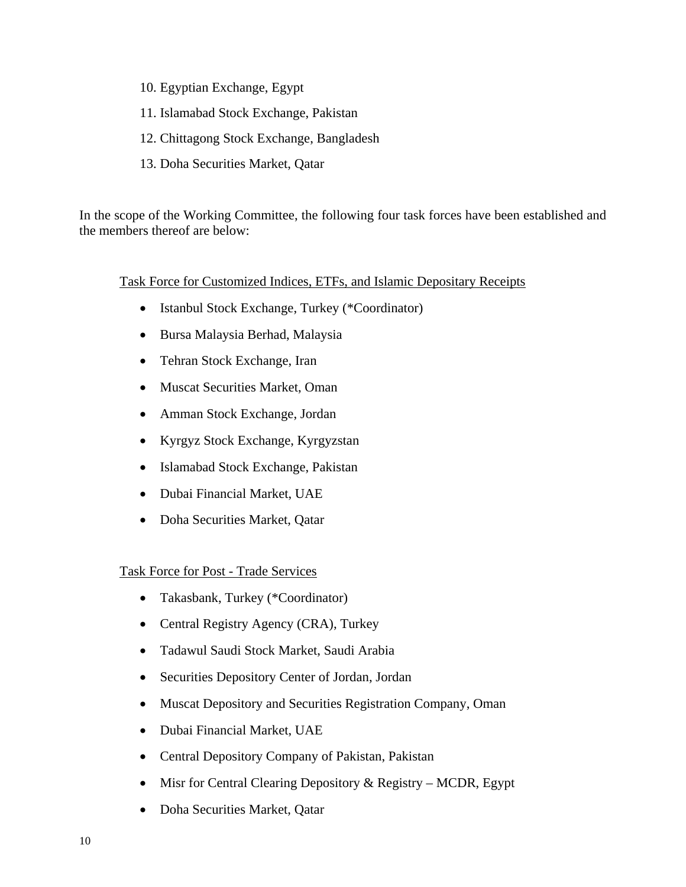- 10. Egyptian Exchange, Egypt
- 11. Islamabad Stock Exchange, Pakistan
- 12. Chittagong Stock Exchange, Bangladesh
- 13. Doha Securities Market, Qatar

In the scope of the Working Committee, the following four task forces have been established and the members thereof are below:

## Task Force for Customized Indices, ETFs, and Islamic Depositary Receipts

- Istanbul Stock Exchange, Turkey (\*Coordinator)
- Bursa Malaysia Berhad, Malaysia
- Tehran Stock Exchange, Iran
- Muscat Securities Market, Oman
- Amman Stock Exchange, Jordan
- Kyrgyz Stock Exchange, Kyrgyzstan
- Islamabad Stock Exchange, Pakistan
- Dubai Financial Market, UAE
- Doha Securities Market, Qatar

## Task Force for Post - Trade Services

- Takasbank, Turkey (\*Coordinator)
- Central Registry Agency (CRA), Turkey
- Tadawul Saudi Stock Market, Saudi Arabia
- Securities Depository Center of Jordan, Jordan
- Muscat Depository and Securities Registration Company, Oman
- Dubai Financial Market, UAE
- Central Depository Company of Pakistan, Pakistan
- Misr for Central Clearing Depository & Registry MCDR, Egypt
- Doha Securities Market, Qatar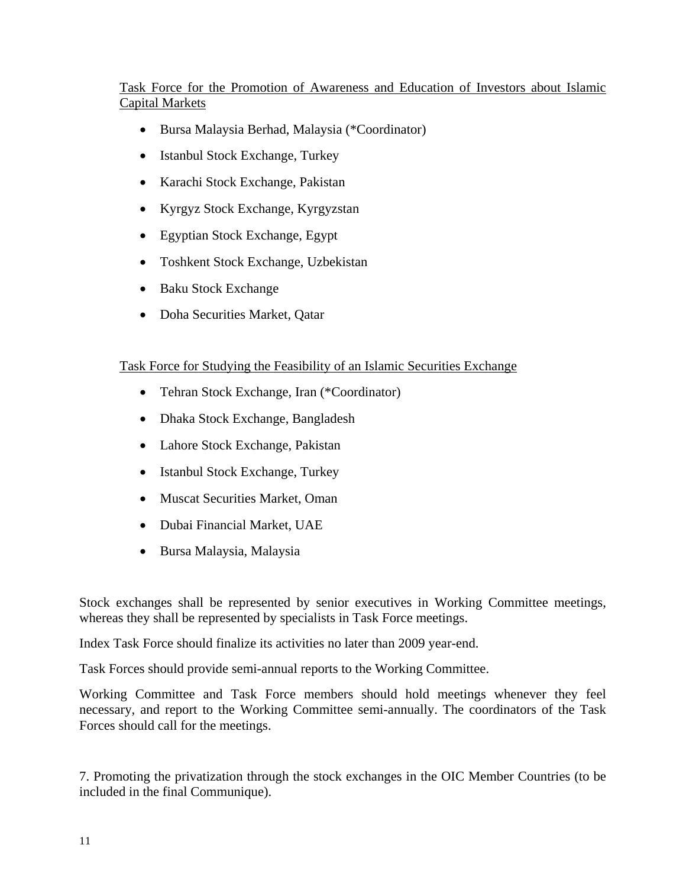# Task Force for the Promotion of Awareness and Education of Investors about Islamic Capital Markets

- Bursa Malaysia Berhad, Malaysia (\*Coordinator)
- Istanbul Stock Exchange, Turkey
- Karachi Stock Exchange, Pakistan
- Kyrgyz Stock Exchange, Kyrgyzstan
- Egyptian Stock Exchange, Egypt
- Toshkent Stock Exchange, Uzbekistan
- Baku Stock Exchange
- Doha Securities Market, Qatar

## Task Force for Studying the Feasibility of an Islamic Securities Exchange

- Tehran Stock Exchange, Iran (\*Coordinator)
- Dhaka Stock Exchange, Bangladesh
- Lahore Stock Exchange, Pakistan
- Istanbul Stock Exchange, Turkey
- Muscat Securities Market, Oman
- Dubai Financial Market, UAE
- Bursa Malaysia, Malaysia

Stock exchanges shall be represented by senior executives in Working Committee meetings, whereas they shall be represented by specialists in Task Force meetings.

Index Task Force should finalize its activities no later than 2009 year-end.

Task Forces should provide semi-annual reports to the Working Committee.

Working Committee and Task Force members should hold meetings whenever they feel necessary, and report to the Working Committee semi-annually. The coordinators of the Task Forces should call for the meetings.

7. Promoting the privatization through the stock exchanges in the OIC Member Countries (to be included in the final Communique).